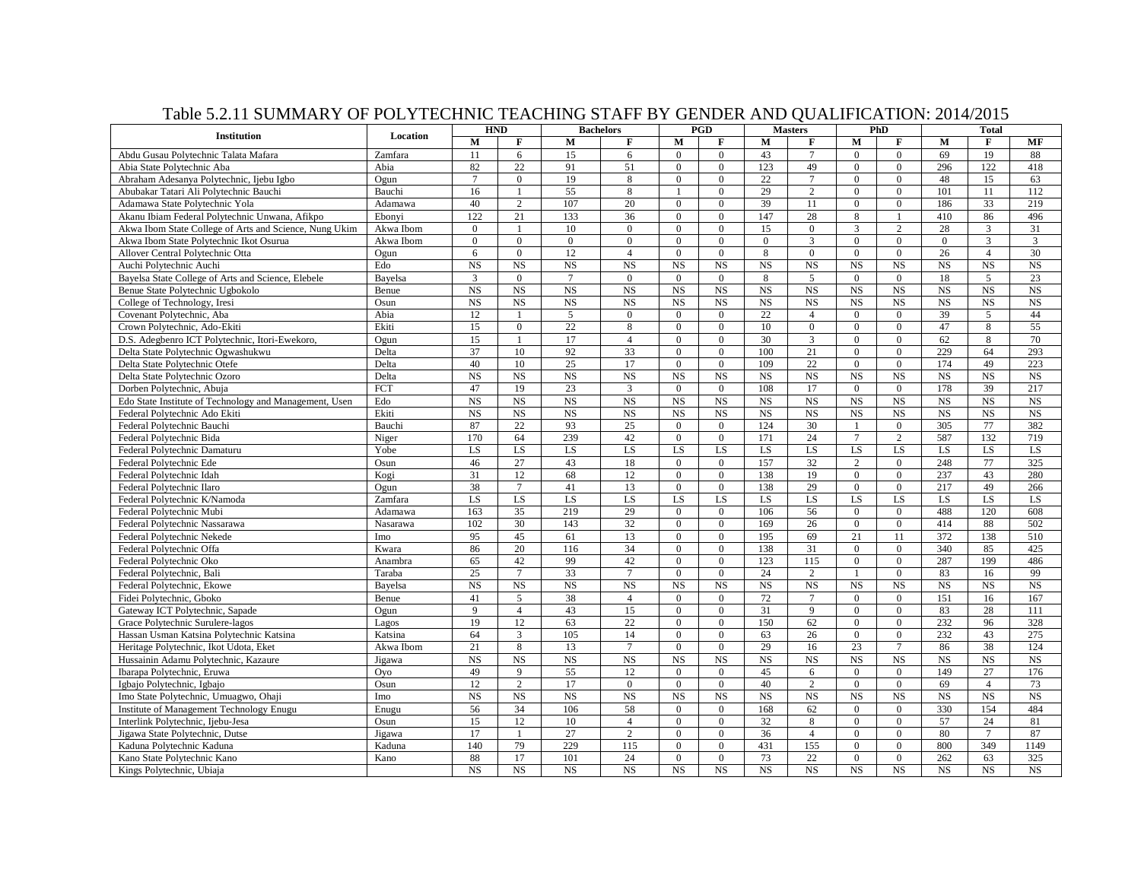|                                                        |             | Table 3.2.11 BOMMARY OF FOLITICITIVE TEACHING BTAFF DT GENDER AND QUALITICATION. 2017/2013<br><b>HND</b><br><b>Bachelors</b> |                              |                |                 |                  | PGD            |                | <b>Masters</b> |                          | PhD            |              | <b>Total</b>   |           |
|--------------------------------------------------------|-------------|------------------------------------------------------------------------------------------------------------------------------|------------------------------|----------------|-----------------|------------------|----------------|----------------|----------------|--------------------------|----------------|--------------|----------------|-----------|
| <b>Institution</b>                                     | Location    | $\mathbf M$                                                                                                                  | $\mathbf{F}$                 | $\mathbf M$    | $\mathbf F$     | M                | F              | M              | F              | $\mathbf M$              | F              | M            | F              | MF        |
| Abdu Gusau Polytechnic Talata Mafara                   | Zamfara     | 11                                                                                                                           | 6                            | 15             | 6               | $\mathbf{0}$     | $\overline{0}$ | 43             | $\tau$         | $\mathbf{0}$             | $\overline{0}$ | 69           | 19             | 88        |
| Abia State Polytechnic Aba                             | Abia        | 82                                                                                                                           | 22                           | 91             | 51              | $\mathbf{0}$     | $\overline{0}$ | 123            | 49             | $\boldsymbol{0}$         | $\overline{0}$ | 296          | 122            | 418       |
| Abraham Adesanya Polytechnic, Ijebu Igbo               | Ogun        | $\overline{7}$                                                                                                               | $\overline{0}$               | 19             | 8               | $\mathbf{0}$     | $\overline{0}$ | 22             | $\tau$         | $\mathbf{0}$             | $\overline{0}$ | 48           | 15             | 63        |
| Abubakar Tatari Ali Polytechnic Bauchi                 | Bauchi      | 16                                                                                                                           |                              | 55             | $\,8\,$         |                  | $\overline{0}$ | 29             | $\overline{c}$ | $\theta$                 | $\overline{0}$ | 101          | 11             | 112       |
| Adamawa State Polytechnic Yola                         | Adamawa     | 40                                                                                                                           | 2                            | 107            | 20              | $\mathbf{0}$     | $\overline{0}$ | 39             | 11             | $\mathbf{0}$             | $\overline{0}$ | 186          | 33             | 219       |
| Akanu Ibiam Federal Polytechnic Unwana, Afikpo         | Ebonvi      | 122                                                                                                                          | 21                           | 133            | 36              | $\boldsymbol{0}$ | $\overline{0}$ | 147            | 28             | $\,8\,$                  |                | 410          | 86             | 496       |
|                                                        |             |                                                                                                                              |                              | 10             | $\overline{0}$  | $\boldsymbol{0}$ | $\overline{0}$ |                | $\overline{0}$ | 3                        | $\overline{2}$ |              |                | 31        |
| Akwa Ibom State College of Arts and Science, Nung Ukim | Akwa Ibom   | $\boldsymbol{0}$                                                                                                             | 1                            |                |                 |                  |                | 15             |                |                          |                | 28           | 3              |           |
| Akwa Ibom State Polytechnic Ikot Osurua                | Akwa Ibom   | $\boldsymbol{0}$                                                                                                             | $\boldsymbol{0}$<br>$\Omega$ | $\overline{0}$ | $\overline{0}$  | $\mathbf{0}$     | $\overline{0}$ | $\overline{0}$ | 3              | $\mathbf{0}$<br>$\Omega$ | $\overline{0}$ | $\mathbf{0}$ | 3              | 3         |
| Allover Central Polytechnic Otta                       | Ogun<br>Edo | 6                                                                                                                            |                              | 12             | $\overline{4}$  | $\Omega$         | $\Omega$       | 8              | $\Omega$       |                          | $\Omega$       | 26           | $\overline{4}$ | 30        |
| Auchi Polytechnic Auchi                                |             | $_{NS}$                                                                                                                      | <b>NS</b>                    | $_{\rm NS}$    | $_{\rm NS}$     | <b>NS</b>        | <b>NS</b>      | <b>NS</b>      | NS             | <b>NS</b>                | <b>NS</b>      | <b>NS</b>    | NS             | <b>NS</b> |
| Bayelsa State College of Arts and Science, Elebele     | Bayelsa     | 3                                                                                                                            | $\mathbf{0}$                 | $\tau$         | $\overline{0}$  | $\overline{0}$   | $\overline{0}$ | 8              | 5              | $\mathbf{0}$             | $\overline{0}$ | 18           | 5              | 23        |
| Benue State Polytechnic Ugbokolo                       | Benue       | $_{\rm NS}$                                                                                                                  | <b>NS</b>                    | NS             | $_{\rm NS}$     | <b>NS</b>        | <b>NS</b>      | <b>NS</b>      | <b>NS</b>      | <b>NS</b>                | <b>NS</b>      | <b>NS</b>    | <b>NS</b>      | NS        |
| College of Technology, Iresi                           | Osun        | $_{NS}$                                                                                                                      | <b>NS</b>                    | <b>NS</b>      | $_{\rm NS}$     | <b>NS</b>        | $_{NS}$        | <b>NS</b>      | <b>NS</b>      | <b>NS</b>                | <b>NS</b>      | <b>NS</b>    | NS             | <b>NS</b> |
| Covenant Polytechnic, Aba                              | Abia        | 12                                                                                                                           |                              | 5              | $\Omega$        | $\Omega$         | $\Omega$       | 22             | $\overline{4}$ | $\Omega$                 | $\Omega$       | 39           | 5              | 44        |
| Crown Polytechnic, Ado-Ekiti                           | Ekiti       | 15                                                                                                                           | $\boldsymbol{0}$             | 22             | 8               | $\mathbf{0}$     | $\overline{0}$ | 10             | $\overline{0}$ | $\mathbf{0}$             | $\overline{0}$ | 47           | 8              | 55        |
| D.S. Adegbenro ICT Polytechnic, Itori-Ewekoro,         | Ogun        | 15                                                                                                                           | $\mathbf{1}$                 | 17             | $\overline{4}$  | $\mathbf{0}$     | $\overline{0}$ | 30             | 3              | $\Omega$                 | $\overline{0}$ | 62           | 8              | 70        |
| Delta State Polytechnic Ogwashukwu                     | Delta       | 37                                                                                                                           | 10                           | 92             | 33              | $\mathbf{0}$     | $\overline{0}$ | 100            | 21             | $\mathbf{0}$             | $\overline{0}$ | 229          | 64             | 293       |
| Delta State Polytechnic Otefe                          | Delta       | 40                                                                                                                           | 10                           | 25             | 17              | $\Omega$         | $\Omega$       | 109            | 22             | $\Omega$                 | $\theta$       | 174          | 49             | 223       |
| Delta State Polytechnic Ozoro                          | Delta       | <b>NS</b>                                                                                                                    | <b>NS</b>                    | <b>NS</b>      | $_{\rm NS}$     | <b>NS</b>        | $_{NS}$        | <b>NS</b>      | <b>NS</b>      | <b>NS</b>                | <b>NS</b>      | <b>NS</b>    | NS             | <b>NS</b> |
| Dorben Polytechnic, Abuja                              | <b>FCT</b>  | 47                                                                                                                           | 19                           | 23             | $\mathbf{3}$    | $\overline{0}$   | $\overline{0}$ | 108            | 17             | $\Omega$                 | $\overline{0}$ | 178          | 39             | 217       |
| Edo State Institute of Technology and Management, Usen | Edo         | <b>NS</b>                                                                                                                    | NS                           | $_{\rm NS}$    | $_{\rm NS}$     | $_{\rm NS}$      | $_{\rm NS}$    | <b>NS</b>      | NS             | $_{\rm NS}$              | <b>NS</b>      | <b>NS</b>    | <b>NS</b>      | <b>NS</b> |
| Federal Polytechnic Ado Ekiti                          | Ekiti       | $_{\rm NS}$                                                                                                                  | <b>NS</b>                    | NS             | $_{\rm NS}$     | NS               | $_{\rm NS}$    | <b>NS</b>      | NS             | $_{\rm NS}$              | <b>NS</b>      | $_{\rm NS}$  | NS             | NS        |
| Federal Polytechnic Bauchi                             | Bauchi      | 87                                                                                                                           | $\overline{22}$              | 93             | $\overline{25}$ | $\mathbf{0}$     | $\overline{0}$ | 124            | 30             |                          | $\overline{0}$ | 305          | 77             | 382       |
| Federal Polytechnic Bida                               | Niger       | 170                                                                                                                          | 64                           | 239            | 42              | $\mathbf{0}$     | $\overline{0}$ | 171            | 24             | $\overline{7}$           | $\overline{2}$ | 587          | 132            | 719       |
| Federal Polytechnic Damaturu                           | Yobe        | LS                                                                                                                           | LS                           | LS             | LS              | LS               | LS             | LS             | LS             | LS                       | LS             | LS           | LS.            | LS        |
| Federal Polytechnic Ede                                | Osun        | 46                                                                                                                           | 27                           | 43             | 18              | $\boldsymbol{0}$ | $\overline{0}$ | 157            | 32             | $\mathbf{2}$             | $\overline{0}$ | 248          | 77             | 325       |
| Federal Polytechnic Idah                               | Kogi        | 31                                                                                                                           | 12                           | 68             | 12              | $\mathbf{0}$     | $\overline{0}$ | 138            | 19             | $\mathbf{0}$             | $\overline{0}$ | 237          | 43             | 280       |
| Federal Polytechnic Ilaro                              | Ogun        | 38                                                                                                                           | $\tau$                       | 41             | 13              | $\Omega$         | $\theta$       | 138            | 29             | $\Omega$                 | $\theta$       | 217          | 49             | 266       |
| Federal Polytechnic K/Namoda                           | Zamfara     | LS                                                                                                                           | LS                           | LS             | LS              | LS               | LS             | LS             | LS             | LS                       | LS             | LS           | LS             | LS        |
| Federal Polytechnic Mubi                               | Adamawa     | 163                                                                                                                          | $\overline{35}$              | 219            | 29              | $\overline{0}$   | $\overline{0}$ | 106            | 56             | $\overline{0}$           | $\overline{0}$ | 488          | 120            | 608       |
| Federal Polytechnic Nassarawa                          | Nasarawa    | 102                                                                                                                          | 30                           | 143            | 32              | $\boldsymbol{0}$ | $\mathbf{0}$   | 169            | 26             | $\boldsymbol{0}$         | $\overline{0}$ | 414          | 88             | 502       |
| Federal Polytechnic Nekede                             | Imo         | 95                                                                                                                           | 45                           | 61             | 13              | $\mathbf{0}$     | $\overline{0}$ | 195            | 69             | 21                       | 11             | 372          | 138            | 510       |
| Federal Polytechnic Offa                               | Kwara       | 86                                                                                                                           | 20                           | 116            | 34              | $\mathbf{0}$     | $\overline{0}$ | 138            | 31             | $\mathbf{0}$             | $\overline{0}$ | 340          | 85             | 425       |
| Federal Polytechnic Oko                                | Anambra     | 65                                                                                                                           | 42                           | 99             | 42              | $\mathbf{0}$     | $\overline{0}$ | 123            | 115            | $\mathbf{0}$             | $\overline{0}$ | 287          | 199            | 486       |
| Federal Polytechnic, Bali                              | Taraba      | 25                                                                                                                           | $7\overline{ }$              | 33             | $7\phantom{.0}$ | $\mathbf{0}$     | $\mathbf{0}$   | 24             | $\overline{c}$ | 1                        | $\overline{0}$ | 83           | 16             | 99        |
| Federal Polytechnic, Ekowe                             | Bayelsa     | $_{NS}$                                                                                                                      | <b>NS</b>                    | <b>NS</b>      | $_{\rm NS}$     | <b>NS</b>        | $_{NS}$        | $_{NS}$        | <b>NS</b>      | <b>NS</b>                | $_{NS}$        | <b>NS</b>    | $_{\rm NS}$    | <b>NS</b> |
| Fidei Polytechnic, Gboko                               | Benue       | 41                                                                                                                           | 5                            | 38             | $\overline{4}$  | $\mathbf{0}$     | $\overline{0}$ | 72             | $\overline{7}$ | $\Omega$                 | $\overline{0}$ | 151          | 16             | 167       |
| Gateway ICT Polytechnic, Sapade                        | Ogun        | $\overline{Q}$                                                                                                               | $\overline{4}$               | 43             | 15              | $\mathbf{0}$     | $\overline{0}$ | 31             | 9              | $\Omega$                 | $\theta$       | 83           | 28             | 111       |
| Grace Polytechnic Surulere-lagos                       | Lagos       | 19                                                                                                                           | 12                           | 63             | 22              | $\boldsymbol{0}$ | $\overline{0}$ | 150            | 62             | $\boldsymbol{0}$         | $\mathbf{0}$   | 232          | 96             | 328       |
| Hassan Usman Katsina Polytechnic Katsina               | Katsina     | 64                                                                                                                           | 3                            | 105            | 14              | $\mathbf{0}$     | $\overline{0}$ | 63             | 26             | $\mathbf{0}$             | $\overline{0}$ | 232          | 43             | 275       |
| Heritage Polytechnic, Ikot Udota, Eket                 | Akwa Ibom   | 21                                                                                                                           | 8                            | 13             | $\overline{7}$  | $\mathbf{0}$     | $\overline{0}$ | 29             | 16             | 23                       | $\overline{7}$ | 86           | 38             | 124       |
| Hussainin Adamu Polytechnic, Kazaure                   | Jigawa      | <b>NS</b>                                                                                                                    | <b>NS</b>                    | <b>NS</b>      | $_{\rm NS}$     | NS               | $_{\rm NS}$    | $_{NS}$        | NS             | <b>NS</b>                | $_{\rm NS}$    | $_{\rm NS}$  | $_{\rm NS}$    | <b>NS</b> |
| Ibarapa Polytechnic, Eruwa                             | Ovo         | 49                                                                                                                           | $\mathbf{Q}$                 | 55             | 12              | $\Omega$         | $\theta$       | 45             | 6              | $\Omega$                 | $\theta$       | 149          | 27             | 176       |
| Igbajo Polytechnic, Igbajo                             | Osun        | 12                                                                                                                           | 2                            | 17             | $\overline{0}$  | $\mathbf{0}$     | $\overline{0}$ | 40             | $\overline{c}$ | $\mathbf{0}$             | $\mathbf{0}$   | 69           | $\overline{4}$ | 73        |
| Imo State Polytechnic, Umuagwo, Ohaji                  | Imo         | $_{NS}$                                                                                                                      | <b>NS</b>                    | <b>NS</b>      | <b>NS</b>       | <b>NS</b>        | <b>NS</b>      | <b>NS</b>      | <b>NS</b>      | $_{\rm NS}$              | $_{\rm NS}$    | <b>NS</b>    | NS             | <b>NS</b> |
| Institute of Management Technology Enugu               | Enugu       | 56                                                                                                                           | 34                           | 106            | 58              | $\overline{0}$   | $\overline{0}$ | 168            | 62             | $\mathbf{0}$             | $\overline{0}$ | 330          | 154            | 484       |
| Interlink Polytechnic, Ijebu-Jesa                      | Osun        | 15                                                                                                                           | 12                           | 10             | $\overline{4}$  | $\Omega$         | $\overline{0}$ | 32             | 8              | $\Omega$                 | $\Omega$       | 57           | 24             | 81        |
| Jigawa State Polytechnic, Dutse                        | Jigawa      | 17                                                                                                                           | 1                            | 27             | $\overline{2}$  | $\mathbf{0}$     | $\overline{0}$ | 36             | $\overline{4}$ | $\mathbf{0}$             | $\overline{0}$ | 80           | $\tau$         | 87        |
| Kaduna Polytechnic Kaduna                              | Kaduna      | 140                                                                                                                          | 79                           | 229            | 115             | $\overline{0}$   | $\overline{0}$ | 431            | 155            | $\mathbf{0}$             | $\overline{0}$ | 800          | 349            | 1149      |
| Kano State Polytechnic Kano                            | Kano        | 88                                                                                                                           | 17                           | 101            | 24              | $\mathbf{0}$     | $\overline{0}$ | 73             | 22             | $\mathbf{0}$             | $\overline{0}$ | 262          | 63             | 325       |
| Kings Polytechnic, Ubiaja                              |             | <b>NS</b>                                                                                                                    | <b>NS</b>                    | <b>NS</b>      | $_{\rm NS}$     | <b>NS</b>        | <b>NS</b>      | <b>NS</b>      | <b>NS</b>      | <b>NS</b>                | <b>NS</b>      | <b>NS</b>    | NS             | <b>NS</b> |
|                                                        |             |                                                                                                                              |                              |                |                 |                  |                |                |                |                          |                |              |                |           |

## Table 5.2.11 SUMMARY OF POLYTECHNIC TEACHING STAFF BY GENDER AND QUALIFICATION: 2014/2015